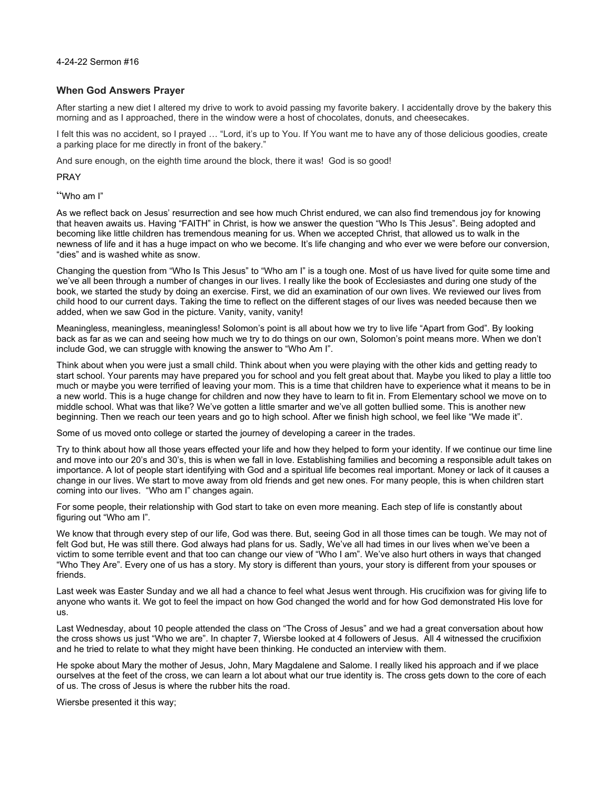4-24-22 Sermon #16

## **When God Answers Prayer**

After starting a new diet I altered my drive to work to avoid passing my favorite bakery. I accidentally drove by the bakery this morning and as I approached, there in the window were a host of chocolates, donuts, and cheesecakes.

I felt this was no accident, so I prayed … "Lord, it's up to You. If You want me to have any of those delicious goodies, create a parking place for me directly in front of the bakery."

And sure enough, on the eighth time around the block, there it was! God is so good!

PRAY

"Who am I"

As we reflect back on Jesus' resurrection and see how much Christ endured, we can also find tremendous joy for knowing that heaven awaits us. Having "FAITH" in Christ, is how we answer the question "Who Is This Jesus". Being adopted and becoming like little children has tremendous meaning for us. When we accepted Christ, that allowed us to walk in the newness of life and it has a huge impact on who we become. It's life changing and who ever we were before our conversion, "dies" and is washed white as snow.

Changing the question from "Who Is This Jesus" to "Who am I" is a tough one. Most of us have lived for quite some time and we've all been through a number of changes in our lives. I really like the book of Ecclesiastes and during one study of the book, we started the study by doing an exercise. First, we did an examination of our own lives. We reviewed our lives from child hood to our current days. Taking the time to reflect on the different stages of our lives was needed because then we added, when we saw God in the picture. Vanity, vanity, vanity!

Meaningless, meaningless, meaningless! Solomon's point is all about how we try to live life "Apart from God". By looking back as far as we can and seeing how much we try to do things on our own, Solomon's point means more. When we don't include God, we can struggle with knowing the answer to "Who Am I".

Think about when you were just a small child. Think about when you were playing with the other kids and getting ready to start school. Your parents may have prepared you for school and you felt great about that. Maybe you liked to play a little too much or maybe you were terrified of leaving your mom. This is a time that children have to experience what it means to be in a new world. This is a huge change for children and now they have to learn to fit in. From Elementary school we move on to middle school. What was that like? We've gotten a little smarter and we've all gotten bullied some. This is another new beginning. Then we reach our teen years and go to high school. After we finish high school, we feel like "We made it".

Some of us moved onto college or started the journey of developing a career in the trades.

Try to think about how all those years effected your life and how they helped to form your identity. If we continue our time line and move into our 20's and 30's, this is when we fall in love. Establishing families and becoming a responsible adult takes on importance. A lot of people start identifying with God and a spiritual life becomes real important. Money or lack of it causes a change in our lives. We start to move away from old friends and get new ones. For many people, this is when children start coming into our lives. "Who am I" changes again.

For some people, their relationship with God start to take on even more meaning. Each step of life is constantly about figuring out "Who am I".

We know that through every step of our life, God was there. But, seeing God in all those times can be tough. We may not of felt God but, He was still there. God always had plans for us. Sadly, We've all had times in our lives when we've been a victim to some terrible event and that too can change our view of "Who I am". We've also hurt others in ways that changed "Who They Are". Every one of us has a story. My story is different than yours, your story is different from your spouses or friends.

Last week was Easter Sunday and we all had a chance to feel what Jesus went through. His crucifixion was for giving life to anyone who wants it. We got to feel the impact on how God changed the world and for how God demonstrated His love for us.

Last Wednesday, about 10 people attended the class on "The Cross of Jesus" and we had a great conversation about how the cross shows us just "Who we are". In chapter 7, Wiersbe looked at 4 followers of Jesus. All 4 witnessed the crucifixion and he tried to relate to what they might have been thinking. He conducted an interview with them.

He spoke about Mary the mother of Jesus, John, Mary Magdalene and Salome. I really liked his approach and if we place ourselves at the feet of the cross, we can learn a lot about what our true identity is. The cross gets down to the core of each of us. The cross of Jesus is where the rubber hits the road.

Wiersbe presented it this way;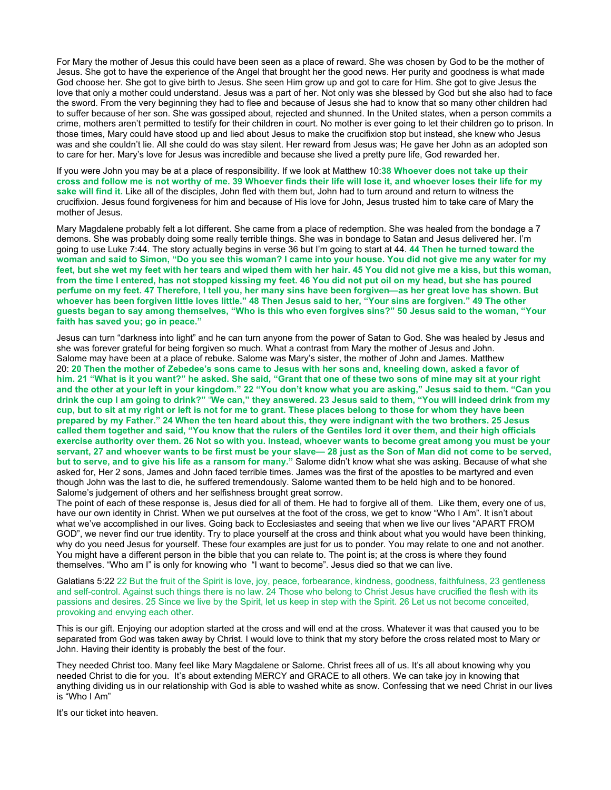For Mary the mother of Jesus this could have been seen as a place of reward. She was chosen by God to be the mother of Jesus. She got to have the experience of the Angel that brought her the good news. Her purity and goodness is what made God choose her. She got to give birth to Jesus. She seen Him grow up and got to care for Him. She got to give Jesus the love that only a mother could understand. Jesus was a part of her. Not only was she blessed by God but she also had to face the sword. From the very beginning they had to flee and because of Jesus she had to know that so many other children had to suffer because of her son. She was gossiped about, rejected and shunned. In the United states, when a person commits a crime, mothers aren't permitted to testify for their children in court. No mother is ever going to let their children go to prison. In those times, Mary could have stood up and lied about Jesus to make the crucifixion stop but instead, she knew who Jesus was and she couldn't lie. All she could do was stay silent. Her reward from Jesus was; He gave her John as an adopted son to care for her. Mary's love for Jesus was incredible and because she lived a pretty pure life, God rewarded her.

If you were John you may be at a place of responsibility. If we look at Matthew 10:**38 Whoever does not take up their cross and follow me is not worthy of me. 39 Whoever finds their life will lose it, and whoever loses their life for my sake will find it.** Like all of the disciples, John fled with them but, John had to turn around and return to witness the crucifixion. Jesus found forgiveness for him and because of His love for John, Jesus trusted him to take care of Mary the mother of Jesus.

Mary Magdalene probably felt a lot different. She came from a place of redemption. She was healed from the bondage a 7 demons. She was probably doing some really terrible things. She was in bondage to Satan and Jesus delivered her. I'm going to use Luke 7:44. The story actually begins in verse 36 but I'm going to start at 44. **44 Then he turned toward the woman and said to Simon, "Do you see this woman? I came into your house. You did not give me any water for my feet, but she wet my feet with her tears and wiped them with her hair. 45 You did not give me a kiss, but this woman, from the time I entered, has not stopped kissing my feet. 46 You did not put oil on my head, but she has poured perfume on my feet. 47 Therefore, I tell you, her many sins have been forgiven—as her great love has shown. But whoever has been forgiven little loves little." 48 Then Jesus said to her, "Your sins are forgiven." 49 The other guests began to say among themselves, "Who is this who even forgives sins?" 50 Jesus said to the woman, "Your faith has saved you; go in peace."**

Jesus can turn "darkness into light" and he can turn anyone from the power of Satan to God. She was healed by Jesus and she was forever grateful for being forgiven so much. What a contrast from Mary the mother of Jesus and John. Salome may have been at a place of rebuke. Salome was Mary's sister, the mother of John and James. Matthew 20: **20 Then the mother of Zebedee's sons came to Jesus with her sons and, kneeling down, asked a favor of him. 21 "What is it you want?" he asked. She said, "Grant that one of these two sons of mine may sit at your right and the other at your left in your kingdom." 22 "You don't know what you are asking," Jesus said to them. "Can you drink the cup I am going to drink?"** "**We can," they answered. 23 Jesus said to them, "You will indeed drink from my cup, but to sit at my right or left is not for me to grant. These places belong to those for whom they have been prepared by my Father." 24 When the ten heard about this, they were indignant with the two brothers. 25 Jesus called them together and said, "You know that the rulers of the Gentiles lord it over them, and their high officials exercise authority over them. 26 Not so with you. Instead, whoever wants to become great among you must be your servant, 27 and whoever wants to be first must be your slave— 28 just as the Son of Man did not come to be served, but to serve, and to give his life as a ransom for many."** Salome didn't know what she was asking. Because of what she asked for, Her 2 sons, James and John faced terrible times. James was the first of the apostles to be martyred and even though John was the last to die, he suffered tremendously. Salome wanted them to be held high and to be honored. Salome's judgement of others and her selfishness brought great sorrow.

The point of each of these response is, Jesus died for all of them. He had to forgive all of them. Like them, every one of us, have our own identity in Christ. When we put ourselves at the foot of the cross, we get to know "Who I Am". It isn't about what we've accomplished in our lives. Going back to Ecclesiastes and seeing that when we live our lives "APART FROM GOD", we never find our true identity. Try to place yourself at the cross and think about what you would have been thinking, why do you need Jesus for yourself. These four examples are just for us to ponder. You may relate to one and not another. You might have a different person in the bible that you can relate to. The point is; at the cross is where they found themselves. "Who am I" is only for knowing who "I want to become". Jesus died so that we can live.

Galatians 5:22 22 But the fruit of the Spirit is love, joy, peace, forbearance, kindness, goodness, faithfulness, 23 gentleness and self-control. Against such things there is no law. 24 Those who belong to Christ Jesus have crucified the flesh with its passions and desires. 25 Since we live by the Spirit, let us keep in step with the Spirit. 26 Let us not become conceited, provoking and envying each other.

This is our gift. Enjoying our adoption started at the cross and will end at the cross. Whatever it was that caused you to be separated from God was taken away by Christ. I would love to think that my story before the cross related most to Mary or John. Having their identity is probably the best of the four.

They needed Christ too. Many feel like Mary Magdalene or Salome. Christ frees all of us. It's all about knowing why you needed Christ to die for you. It's about extending MERCY and GRACE to all others. We can take joy in knowing that anything dividing us in our relationship with God is able to washed white as snow. Confessing that we need Christ in our lives is "Who I Am"

It's our ticket into heaven.